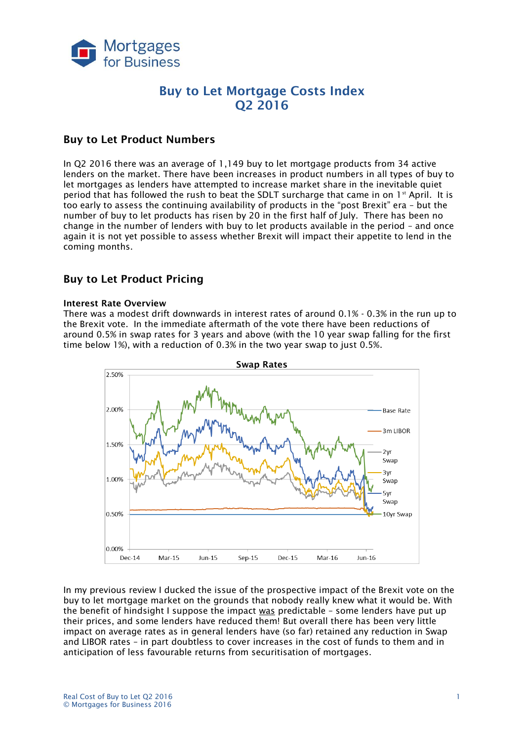

# **Buy to Let Mortgage Costs Index Q2 2016**

# **Buy to Let Product Numbers**

In Q2 2016 there was an average of 1,149 buy to let mortgage products from 34 active lenders on the market. There have been increases in product numbers in all types of buy to let mortgages as lenders have attempted to increase market share in the inevitable quiet period that has followed the rush to beat the SDLT surcharge that came in on  $1<sup>st</sup>$  April. It is too early to assess the continuing availability of products in the "post Brexit" era – but the number of buy to let products has risen by 20 in the first half of July. There has been no change in the number of lenders with buy to let products available in the period – and once again it is not yet possible to assess whether Brexit will impact their appetite to lend in the coming months.

# **Buy to Let Product Pricing**

#### **Interest Rate Overview**

There was a modest drift downwards in interest rates of around 0.1% - 0.3% in the run up to the Brexit vote. In the immediate aftermath of the vote there have been reductions of around 0.5% in swap rates for 3 years and above (with the 10 year swap falling for the first time below 1%), with a reduction of 0.3% in the two year swap to just 0.5%.



In my previous review I ducked the issue of the prospective impact of the Brexit vote on the buy to let mortgage market on the grounds that nobody really knew what it would be. With the benefit of hindsight I suppose the impact was predictable – some lenders have put up their prices, and some lenders have reduced them! But overall there has been very little impact on average rates as in general lenders have (so far) retained any reduction in Swap and LIBOR rates – in part doubtless to cover increases in the cost of funds to them and in anticipation of less favourable returns from securitisation of mortgages.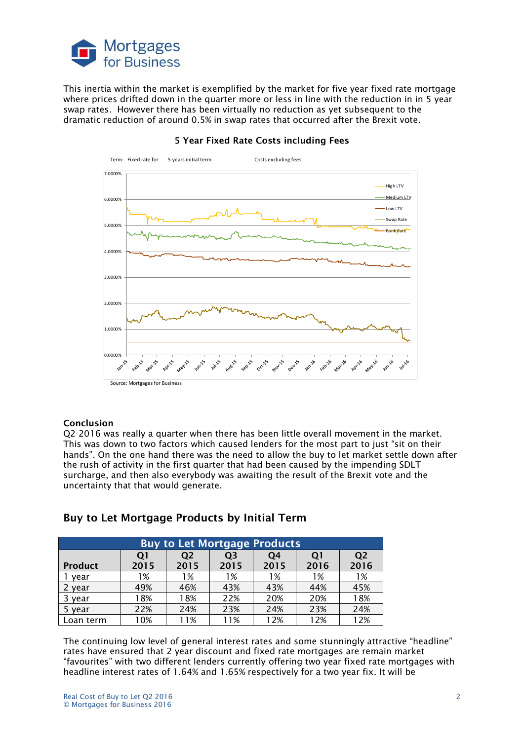

This inertia within the market is exemplified by the market for five year fixed rate mortgage where prices drifted down in the quarter more or less in line with the reduction in in 5 year swap rates. However there has been virtually no reduction as yet subsequent to the dramatic reduction of around 0.5% in swap rates that occurred after the Brexit vote.



#### **5 Year Fixed Rate Costs including Fees**

#### **Conclusion**

Q2 2016 was really a quarter when there has been little overall movement in the market. This was down to two factors which caused lenders for the most part to just "sit on their hands". On the one hand there was the need to allow the buy to let market settle down after the rush of activity in the first quarter that had been caused by the impending SDLT surcharge, and then also everybody was awaiting the result of the Brexit vote and the uncertainty that that would generate.

| <b>Buy to Let Mortgage Products</b> |      |           |                |      |      |                |  |  |
|-------------------------------------|------|-----------|----------------|------|------|----------------|--|--|
|                                     | Q1   | <b>O2</b> | Q <sub>3</sub> | O4   | Q1   | Q <sub>2</sub> |  |  |
| <b>Product</b>                      | 2015 | 2015      | 2015           | 2015 | 2016 | 2016           |  |  |
| vear                                | 1%   | 1%        | 1%             | 1%   | 1%   | 1%             |  |  |
| 2 year                              | 49%  | 46%       | 43%            | 43%  | 44%  | 45%            |  |  |
| 3 year                              | 18%  | 18%       | 22%            | 20%  | 20%  | 18%            |  |  |
| 5 year                              | 22%  | 24%       | 23%            | 24%  | 23%  | 24%            |  |  |
| Loan term                           | 10%  | 11%       | 11%            | 12%  | 12%  | 12%            |  |  |

### **Buy to Let Mortgage Products by Initial Term**

The continuing low level of general interest rates and some stunningly attractive "headline" rates have ensured that 2 year discount and fixed rate mortgages are remain market "favourites" with two different lenders currently offering two year fixed rate mortgages with headline interest rates of 1.64% and 1.65% respectively for a two year fix. It will be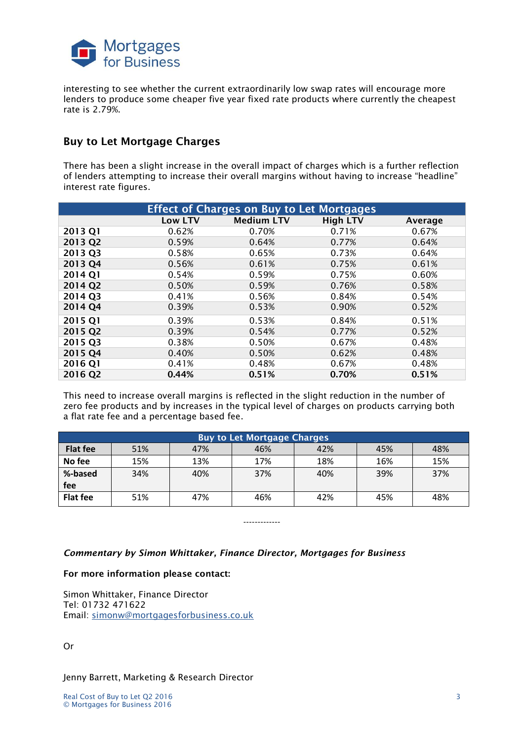

interesting to see whether the current extraordinarily low swap rates will encourage more lenders to produce some cheaper five year fixed rate products where currently the cheapest rate is 2.79%.

## **Buy to Let Mortgage Charges**

There has been a slight increase in the overall impact of charges which is a further reflection of lenders attempting to increase their overall margins without having to increase "headline" interest rate figures.

| <b>Effect of Charges on Buy to Let Mortgages</b> |         |                   |                 |         |  |  |
|--------------------------------------------------|---------|-------------------|-----------------|---------|--|--|
|                                                  | Low LTV | <b>Medium LTV</b> | <b>High LTV</b> | Average |  |  |
| 2013 Q1                                          | 0.62%   | 0.70%             | 0.71%           | 0.67%   |  |  |
| 2013 Q2                                          | 0.59%   | 0.64%             | 0.77%           | 0.64%   |  |  |
| 2013 Q3                                          | 0.58%   | 0.65%             | 0.73%           | 0.64%   |  |  |
| 2013 Q4                                          | 0.56%   | 0.61%             | 0.75%           | 0.61%   |  |  |
| 2014 Q1                                          | 0.54%   | 0.59%             | 0.75%           | 0.60%   |  |  |
| 2014 Q2                                          | 0.50%   | 0.59%             | 0.76%           | 0.58%   |  |  |
| 2014 Q3                                          | 0.41%   | 0.56%             | 0.84%           | 0.54%   |  |  |
| 2014 Q4                                          | 0.39%   | 0.53%             | 0.90%           | 0.52%   |  |  |
| 2015 Q1                                          | 0.39%   | 0.53%             | 0.84%           | 0.51%   |  |  |
| 2015 Q2                                          | 0.39%   | 0.54%             | 0.77%           | 0.52%   |  |  |
| 2015 Q3                                          | 0.38%   | 0.50%             | 0.67%           | 0.48%   |  |  |
| 2015 Q4                                          | 0.40%   | 0.50%             | 0.62%           | 0.48%   |  |  |
| 2016 Q1                                          | 0.41%   | 0.48%             | 0.67%           | 0.48%   |  |  |
| 2016 Q2                                          | 0.44%   | 0.51%             | 0.70%           | 0.51%   |  |  |

This need to increase overall margins is reflected in the slight reduction in the number of zero fee products and by increases in the typical level of charges on products carrying both a flat rate fee and a percentage based fee.

| <b>Buy to Let Mortgage Charges</b> |     |     |     |     |     |     |  |  |
|------------------------------------|-----|-----|-----|-----|-----|-----|--|--|
| <b>Flat fee</b>                    | 51% | 47% | 46% | 42% | 45% | 48% |  |  |
| No fee                             | 15% | 13% | 17% | 18% | 16% | 15% |  |  |
| %-based                            | 34% | 40% | 37% | 40% | 39% | 37% |  |  |
| fee                                |     |     |     |     |     |     |  |  |
| <b>Flat fee</b>                    | 51% | 47% | 46% | 42% | 45% | 48% |  |  |

-------------

*Commentary by Simon Whittaker, Finance Director, Mortgages for Business*

#### **For more information please contact:**

Simon Whittaker, Finance Director Tel: 01732 471622 Email: [simonw@mortgagesforbusiness.co.uk](mailto:simonw@mortgagesforbusiness.co.uk)

Or

Jenny Barrett, Marketing & Research Director